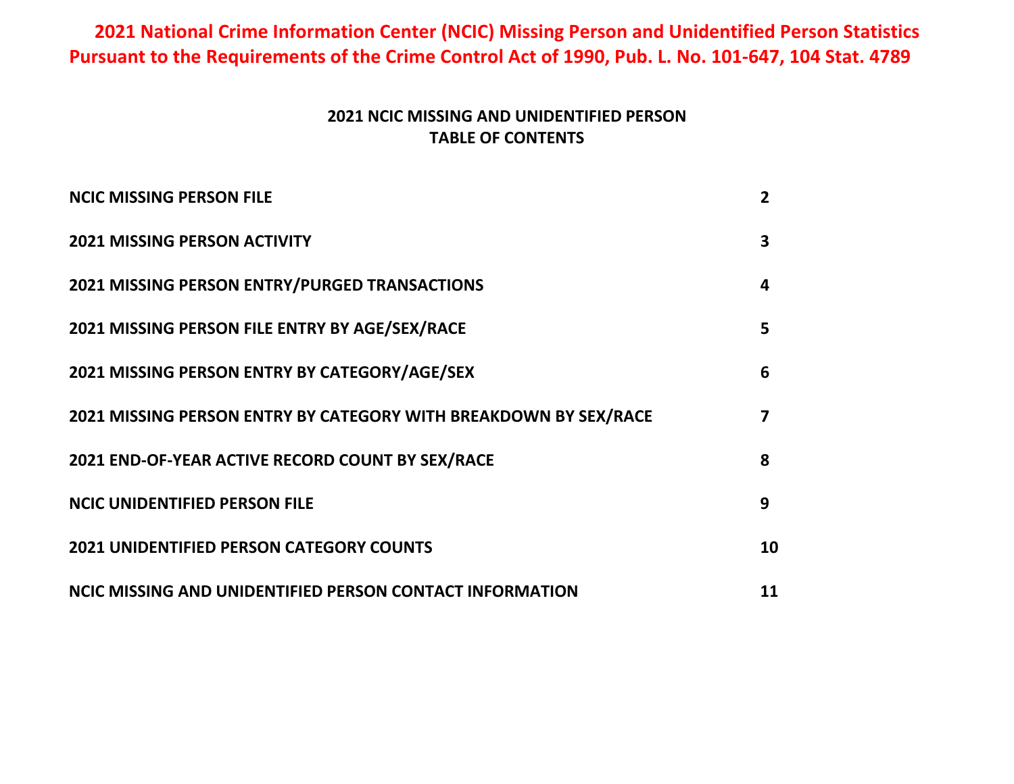# **2021 National Crime Information Center (NCIC) Missing Person and Unidentified Person Statistics Pursuant to the Requirements of the Crime Control Act of 1990, Pub. L. No. 101-647, 104 Stat. 4789**

## **2021 NCIC MISSING AND UNIDENTIFIED PERSON TABLE OF CONTENTS**

| <b>NCIC MISSING PERSON FILE</b>                                  | 2  |
|------------------------------------------------------------------|----|
| <b>2021 MISSING PERSON ACTIVITY</b>                              | 3  |
| 2021 MISSING PERSON ENTRY/PURGED TRANSACTIONS                    | 4  |
| 2021 MISSING PERSON FILE ENTRY BY AGE/SEX/RACE                   | 5  |
| 2021 MISSING PERSON ENTRY BY CATEGORY/AGE/SEX                    | 6  |
| 2021 MISSING PERSON ENTRY BY CATEGORY WITH BREAKDOWN BY SEX/RACE | 7  |
| 2021 END-OF-YEAR ACTIVE RECORD COUNT BY SEX/RACE                 | 8  |
| <b>NCIC UNIDENTIFIED PERSON FILE</b>                             | 9  |
| <b>2021 UNIDENTIFIED PERSON CATEGORY COUNTS</b>                  | 10 |
| NCIC MISSING AND UNIDENTIFIED PERSON CONTACT INFORMATION         | 11 |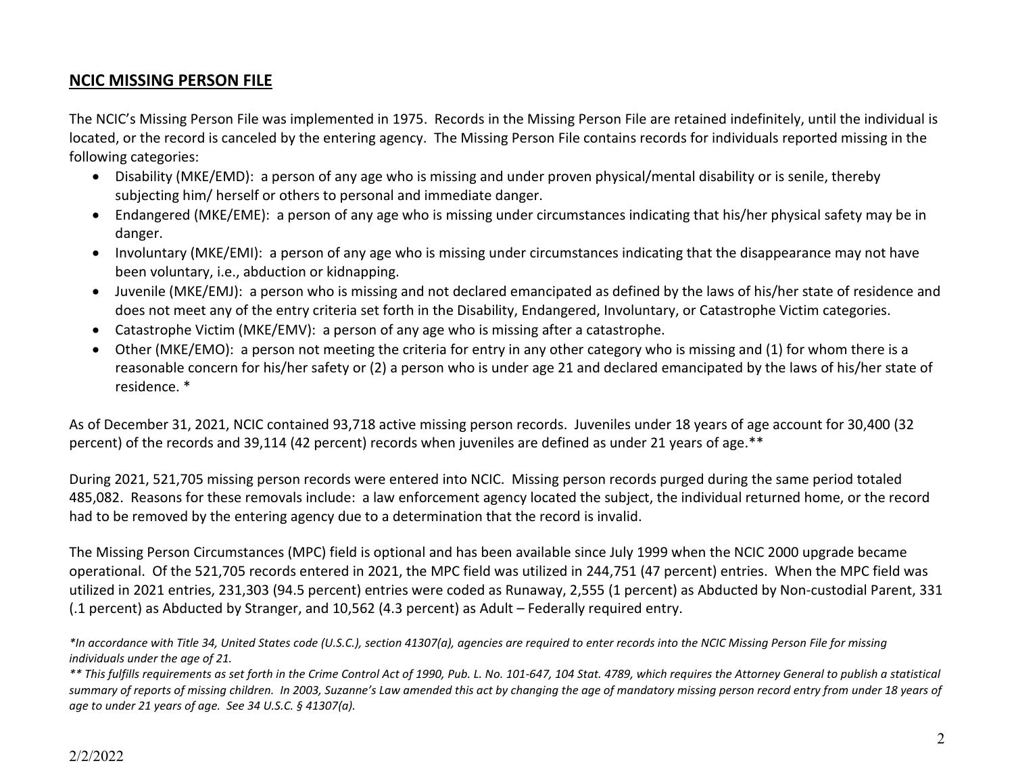### **NCIC MISSING PERSON FILE**

The NCIC's Missing Person File was implemented in 1975. Records in the Missing Person File are retained indefinitely, until the individual is located, or the record is canceled by the entering agency. The Missing Person File contains records for individuals reported missing in the following categories:

- Disability (MKE/EMD): a person of any age who is missing and under proven physical/mental disability or is senile, thereby subjecting him/ herself or others to personal and immediate danger.
- Endangered (MKE/EME): a person of any age who is missing under circumstances indicating that his/her physical safety may be in danger.
- Involuntary (MKE/EMI): a person of any age who is missing under circumstances indicating that the disappearance may not have been voluntary, i.e., abduction or kidnapping.
- Juvenile (MKE/EMJ): a person who is missing and not declared emancipated as defined by the laws of his/her state of residence and does not meet any of the entry criteria set forth in the Disability, Endangered, Involuntary, or Catastrophe Victim categories.
- Catastrophe Victim (MKE/EMV): a person of any age who is missing after a catastrophe.
- Other (MKE/EMO): a person not meeting the criteria for entry in any other category who is missing and (1) for whom there is a reasonable concern for his/her safety or (2) a person who is under age 21 and declared emancipated by the laws of his/her state of residence. \*

As of December 31, 2021, NCIC contained 93,718 active missing person records. Juveniles under 18 years of age account for 30,400 (32 percent) of the records and 39,114 (42 percent) records when juveniles are defined as under 21 years of age.\*\*

During 2021, 521,705 missing person records were entered into NCIC. Missing person records purged during the same period totaled 485,082. Reasons for these removals include: a law enforcement agency located the subject, the individual returned home, or the record had to be removed by the entering agency due to a determination that the record is invalid.

The Missing Person Circumstances (MPC) field is optional and has been available since July 1999 when the NCIC 2000 upgrade became operational. Of the 521,705 records entered in 2021, the MPC field was utilized in 244,751 (47 percent) entries. When the MPC field was utilized in 2021 entries, 231,303 (94.5 percent) entries were coded as Runaway, 2,555 (1 percent) as Abducted by Non-custodial Parent, 331 (.1 percent) as Abducted by Stranger, and 10,562 (4.3 percent) as Adult – Federally required entry.

*\*In accordance with Title 34, United States code (U.S.C.), section 41307(a), agencies are required to enter records into the NCIC Missing Person File for missing individuals under the age of 21.*

*\*\* This fulfills requirements as set forth in the Crime Control Act of 1990, Pub. L. No. 101-647, 104 Stat. 4789, which requires the Attorney General to publish a statistical summary of reports of missing children. In 2003, Suzanne's Law amended this act by changing the age of mandatory missing person record entry from under 18 years of age to under 21 years of age. See 34 U.S.C. § 41307(a).*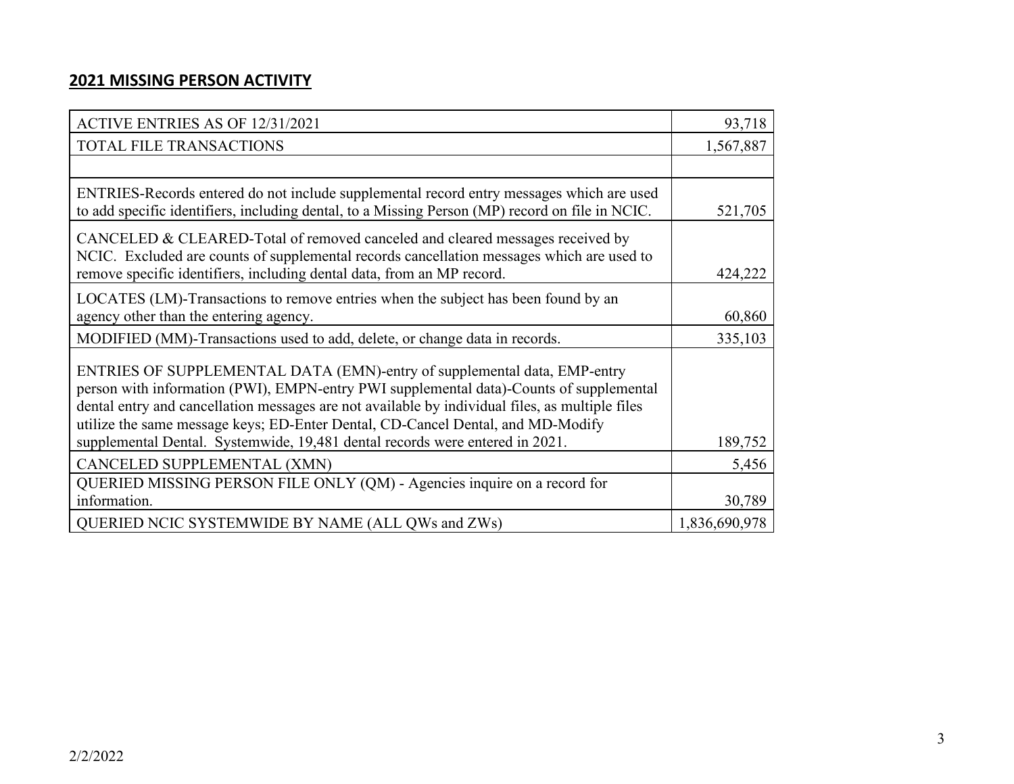## **2021 MISSING PERSON ACTIVITY**

| <b>ACTIVE ENTRIES AS OF 12/31/2021</b>                                                                                                                                                                                                                                                                                                                                                                                                    | 93,718        |
|-------------------------------------------------------------------------------------------------------------------------------------------------------------------------------------------------------------------------------------------------------------------------------------------------------------------------------------------------------------------------------------------------------------------------------------------|---------------|
| <b>TOTAL FILE TRANSACTIONS</b>                                                                                                                                                                                                                                                                                                                                                                                                            | 1,567,887     |
|                                                                                                                                                                                                                                                                                                                                                                                                                                           |               |
| ENTRIES-Records entered do not include supplemental record entry messages which are used<br>to add specific identifiers, including dental, to a Missing Person (MP) record on file in NCIC.                                                                                                                                                                                                                                               | 521,705       |
| CANCELED & CLEARED-Total of removed canceled and cleared messages received by<br>NCIC. Excluded are counts of supplemental records cancellation messages which are used to<br>remove specific identifiers, including dental data, from an MP record.                                                                                                                                                                                      | 424,222       |
| LOCATES (LM)-Transactions to remove entries when the subject has been found by an<br>agency other than the entering agency.                                                                                                                                                                                                                                                                                                               | 60,860        |
| MODIFIED (MM)-Transactions used to add, delete, or change data in records.                                                                                                                                                                                                                                                                                                                                                                | 335,103       |
| ENTRIES OF SUPPLEMENTAL DATA (EMN)-entry of supplemental data, EMP-entry<br>person with information (PWI), EMPN-entry PWI supplemental data)-Counts of supplemental<br>dental entry and cancellation messages are not available by individual files, as multiple files<br>utilize the same message keys; ED-Enter Dental, CD-Cancel Dental, and MD-Modify<br>supplemental Dental. Systemwide, 19,481 dental records were entered in 2021. | 189,752       |
| CANCELED SUPPLEMENTAL (XMN)                                                                                                                                                                                                                                                                                                                                                                                                               | 5,456         |
| QUERIED MISSING PERSON FILE ONLY (QM) - Agencies inquire on a record for<br>information.                                                                                                                                                                                                                                                                                                                                                  | 30,789        |
| QUERIED NCIC SYSTEMWIDE BY NAME (ALL QWs and ZWs)                                                                                                                                                                                                                                                                                                                                                                                         | 1,836,690,978 |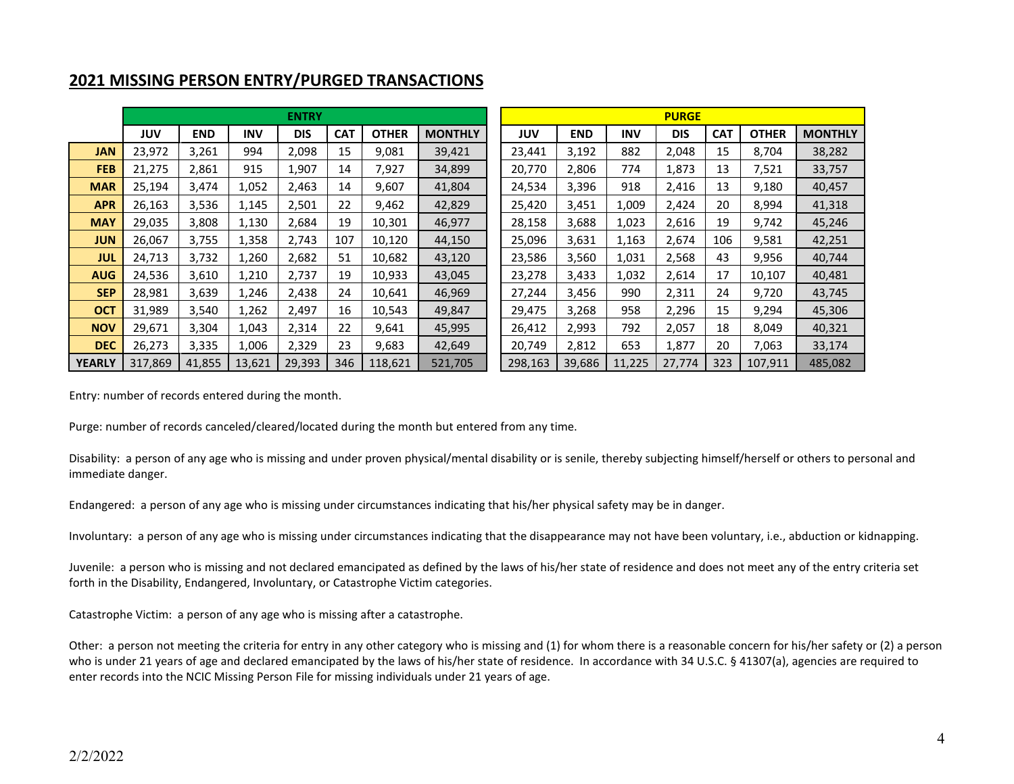|               |         |            |            | <b>ENTRY</b> |            |              |                |         |            |            | <b>PURGE</b> |            |              |                |
|---------------|---------|------------|------------|--------------|------------|--------------|----------------|---------|------------|------------|--------------|------------|--------------|----------------|
|               | JUV     | <b>END</b> | <b>INV</b> | <b>DIS</b>   | <b>CAT</b> | <b>OTHER</b> | <b>MONTHLY</b> | JUV     | <b>END</b> | <b>INV</b> | <b>DIS</b>   | <b>CAT</b> | <b>OTHER</b> | <b>MONTHLY</b> |
| <b>JAN</b>    | 23,972  | 3,261      | 994        | 2,098        | 15         | 9,081        | 39,421         | 23,441  | 3,192      | 882        | 2,048        | 15         | 8,704        | 38,282         |
| <b>FEB</b>    | 21,275  | 2,861      | 915        | 1,907        | 14         | 7,927        | 34,899         | 20,770  | 2,806      | 774        | 1,873        | 13         | 7,521        | 33,757         |
| <b>MAR</b>    | 25,194  | 3,474      | 1,052      | 2,463        | 14         | 9,607        | 41,804         | 24,534  | 3,396      | 918        | 2,416        | 13         | 9,180        | 40,457         |
| <b>APR</b>    | 26,163  | 3,536      | 1,145      | 2,501        | 22         | 9,462        | 42,829         | 25,420  | 3,451      | 1,009      | 2,424        | 20         | 8,994        | 41,318         |
| <b>MAY</b>    | 29,035  | 3,808      | 1,130      | 2,684        | 19         | 10,301       | 46,977         | 28,158  | 3,688      | 1,023      | 2,616        | 19         | 9,742        | 45,246         |
| <b>JUN</b>    | 26,067  | 3,755      | 1,358      | 2,743        | 107        | 10,120       | 44,150         | 25,096  | 3,631      | 1,163      | 2,674        | 106        | 9,581        | 42,251         |
| <b>JUL</b>    | 24,713  | 3,732      | 1,260      | 2,682        | 51         | 10,682       | 43,120         | 23,586  | 3,560      | 1,031      | 2,568        | 43         | 9,956        | 40,744         |
| <b>AUG</b>    | 24,536  | 3,610      | 1,210      | 2.737        | 19         | 10,933       | 43,045         | 23,278  | 3,433      | 1,032      | 2,614        | 17         | 10,107       | 40,481         |
| <b>SEP</b>    | 28,981  | 3,639      | 1,246      | 2,438        | 24         | 10,641       | 46,969         | 27,244  | 3,456      | 990        | 2,311        | 24         | 9,720        | 43,745         |
| <b>OCT</b>    | 31,989  | 3,540      | 1,262      | 2,497        | 16         | 10,543       | 49,847         | 29,475  | 3,268      | 958        | 2,296        | 15         | 9,294        | 45,306         |
| <b>NOV</b>    | 29,671  | 3,304      | 1,043      | 2,314        | 22         | 9,641        | 45,995         | 26,412  | 2,993      | 792        | 2,057        | 18         | 8,049        | 40,321         |
| <b>DEC</b>    | 26,273  | 3,335      | 1,006      | 2,329        | 23         | 9,683        | 42,649         | 20,749  | 2,812      | 653        | 1,877        | 20         | 7,063        | 33,174         |
| <b>YEARLY</b> | 317,869 | 41,855     | 13,621     | 29,393       | 346        | 118,621      | 521,705        | 298,163 | 39,686     | 11,225     | 27,774       | 323        | 107,911      | 485,082        |

#### **2021 MISSING PERSON ENTRY/PURGED TRANSACTIONS**

Entry: number of records entered during the month.

Purge: number of records canceled/cleared/located during the month but entered from any time.

Disability: a person of any age who is missing and under proven physical/mental disability or is senile, thereby subjecting himself/herself or others to personal and immediate danger.

Endangered: a person of any age who is missing under circumstances indicating that his/her physical safety may be in danger.

Involuntary: a person of any age who is missing under circumstances indicating that the disappearance may not have been voluntary, i.e., abduction or kidnapping.

Juvenile: a person who is missing and not declared emancipated as defined by the laws of his/her state of residence and does not meet any of the entry criteria set forth in the Disability, Endangered, Involuntary, or Catastrophe Victim categories.

Catastrophe Victim: a person of any age who is missing after a catastrophe.

Other: a person not meeting the criteria for entry in any other category who is missing and (1) for whom there is a reasonable concern for his/her safety or (2) a person who is under 21 years of age and declared emancipated by the laws of his/her state of residence. In accordance with 34 U.S.C. § 41307(a), agencies are required to enter records into the NCIC Missing Person File for missing individuals under 21 years of age.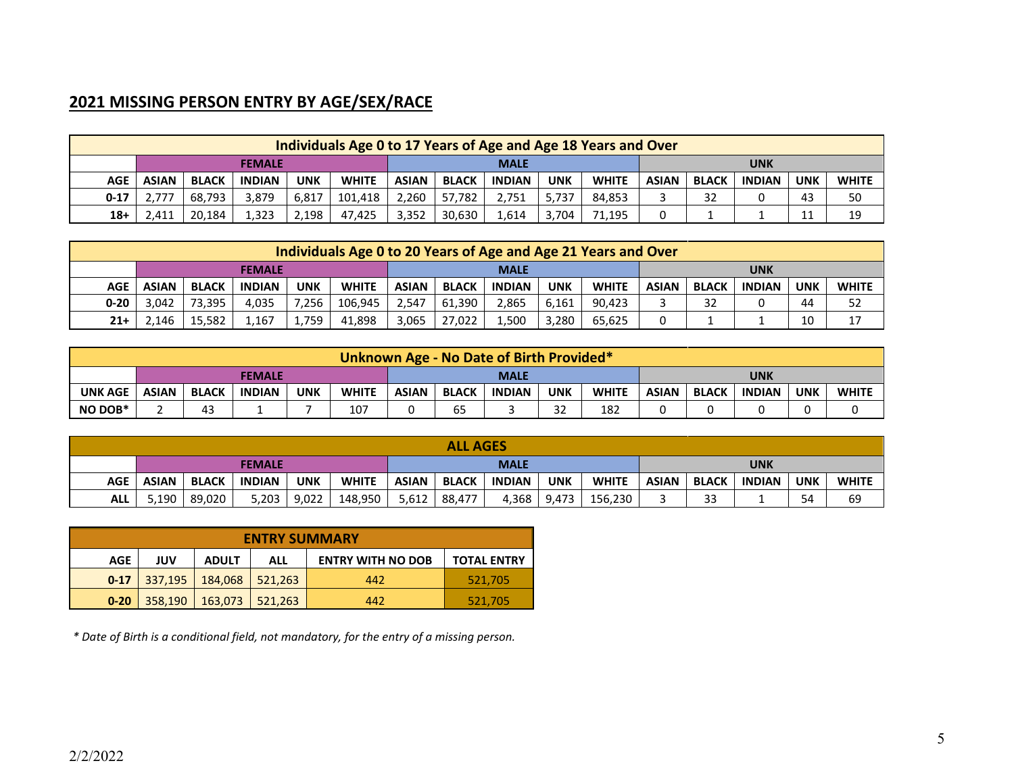# **2021 MISSING PERSON ENTRY BY AGE/SEX/RACE**

|          |              |              |               |            | Individuals Age 0 to 17 Years of Age and Age 18 Years and Over |                                                                                                                                                            |        |             |       |        |  |  |     |          |    |  |
|----------|--------------|--------------|---------------|------------|----------------------------------------------------------------|------------------------------------------------------------------------------------------------------------------------------------------------------------|--------|-------------|-------|--------|--|--|-----|----------|----|--|
|          |              |              | <b>FEMALE</b> |            |                                                                |                                                                                                                                                            |        | <b>MALE</b> |       |        |  |  | UNK |          |    |  |
| AGE      | <b>ASIAN</b> | <b>BLACK</b> | <b>INDIAN</b> | <b>UNK</b> | <b>WHITE</b>                                                   | <b>UNK</b><br><b>BLACK</b><br><b>WHITE</b><br><b>UNK</b><br><b>ASIAN</b><br><b>INDIAN</b><br><b>ASIAN</b><br><b>BLACK</b><br><b>INDIAN</b><br><b>WHITE</b> |        |             |       |        |  |  |     |          |    |  |
| $0 - 17$ | .777         | 68.793       | 3.879         | 6,817      | 101,418                                                        | 2.260                                                                                                                                                      | 57.782 | 2.751       | 5.737 | 84.853 |  |  |     | 43       | 50 |  |
| $18+$    | 2,411        | 20.184       | 1.323         | 2,198      | 47.425                                                         | 3.352                                                                                                                                                      | 30.630 | 1.614       | 3.704 | 71,195 |  |  |     | 11<br>ᆠᆠ | 19 |  |

|          |              |              |               |            | Individuals Age 0 to 20 Years of Age and Age 21 Years and Over |              |              |               |            |              |              |              |               |            |              |
|----------|--------------|--------------|---------------|------------|----------------------------------------------------------------|--------------|--------------|---------------|------------|--------------|--------------|--------------|---------------|------------|--------------|
|          |              |              |               | UNK        |                                                                |              |              |               |            |              |              |              |               |            |              |
| AGE      | <b>ASIAN</b> | <b>BLACK</b> | <b>INDIAN</b> | <b>UNK</b> | <b>WHITE</b>                                                   | <b>ASIAN</b> | <b>BLACK</b> | <b>INDIAN</b> | <b>UNK</b> | <b>WHITE</b> | <b>ASIAN</b> | <b>BLACK</b> | <b>INDIAN</b> | <b>UNK</b> | <b>WHITE</b> |
| $0 - 20$ | 3.042        | 73.395       | 4.035         | 7.256      | 106.945                                                        | 2.547        | 61.390       | 2,865         | 6.161      | 90.423       |              | 32           |               | 44         | 52           |
| $21+$    | .146         | 15.582       | 1,167         | 1,759      | 41.898                                                         | 3.065        | 27.022       | 1.500         | 3.280      | 65.625       |              |              |               | 10         | 17           |

|                |                                            |              |               |            |              |              |              | Unknown Age - No Date of Birth Provided* |            |              |              |              |               |            |              |
|----------------|--------------------------------------------|--------------|---------------|------------|--------------|--------------|--------------|------------------------------------------|------------|--------------|--------------|--------------|---------------|------------|--------------|
|                | <b>FEMALE</b><br><b>UNK</b><br><b>MALE</b> |              |               |            |              |              |              |                                          |            |              |              |              |               |            |              |
| <b>UNK AGE</b> | <b>ASIAN</b>                               | <b>BLACK</b> | <b>INDIAN</b> | <b>UNK</b> | <b>WHITE</b> | <b>ASIAN</b> | <b>BLACK</b> | <b>INDIAN</b>                            | <b>UNK</b> | <b>WHITE</b> | <b>ASIAN</b> | <b>BLACK</b> | <b>INDIAN</b> | <b>UNK</b> | <b>WHITE</b> |
| NO DOB*        |                                            | 43           |               |            | 107          |              | 65           |                                          | $\sim$     | 182          |              |              |               |            |              |

|            |              |              |               |            |              |              | <b>ALL AGES</b> |               |            |              |              |              |               |            |              |
|------------|--------------|--------------|---------------|------------|--------------|--------------|-----------------|---------------|------------|--------------|--------------|--------------|---------------|------------|--------------|
|            |              |              | <b>FEMALE</b> |            |              |              |                 | <b>MALE</b>   |            |              |              |              | UNK           |            |              |
| <b>AGE</b> | <b>ASIAN</b> | <b>BLACK</b> | <b>INDIAN</b> | <b>UNK</b> | <b>WHITE</b> | <b>ASIAN</b> | <b>BLACK</b>    | <b>INDIAN</b> | <b>UNK</b> | <b>WHITE</b> | <b>ASIAN</b> | <b>BLACK</b> | <b>INDIAN</b> | <b>UNK</b> | <b>WHITE</b> |
| <b>ALL</b> | 5,190        | 89.020       | 5,203 l       | 9,022      | 148,950      | 5,612        | 88,477          | 4,368         | 9.473      | 156,230      |              | $\sim$       |               | 54         | 69           |

|            |         |              | <b>ENTRY SUMMARY</b> |                          |                    |
|------------|---------|--------------|----------------------|--------------------------|--------------------|
| <b>AGE</b> | JUV     | <b>ADULT</b> | ALL                  | <b>ENTRY WITH NO DOB</b> | <b>TOTAL ENTRY</b> |
| $0 - 17$   | 337.195 | 184,068      | 521,263              | 442                      | 521.705            |
| $0 - 20$   | 358,190 | 163,073      | 521.263              | 442                      | 521,705            |

*\* Date of Birth is a conditional field, not mandatory, for the entry of a missing person.*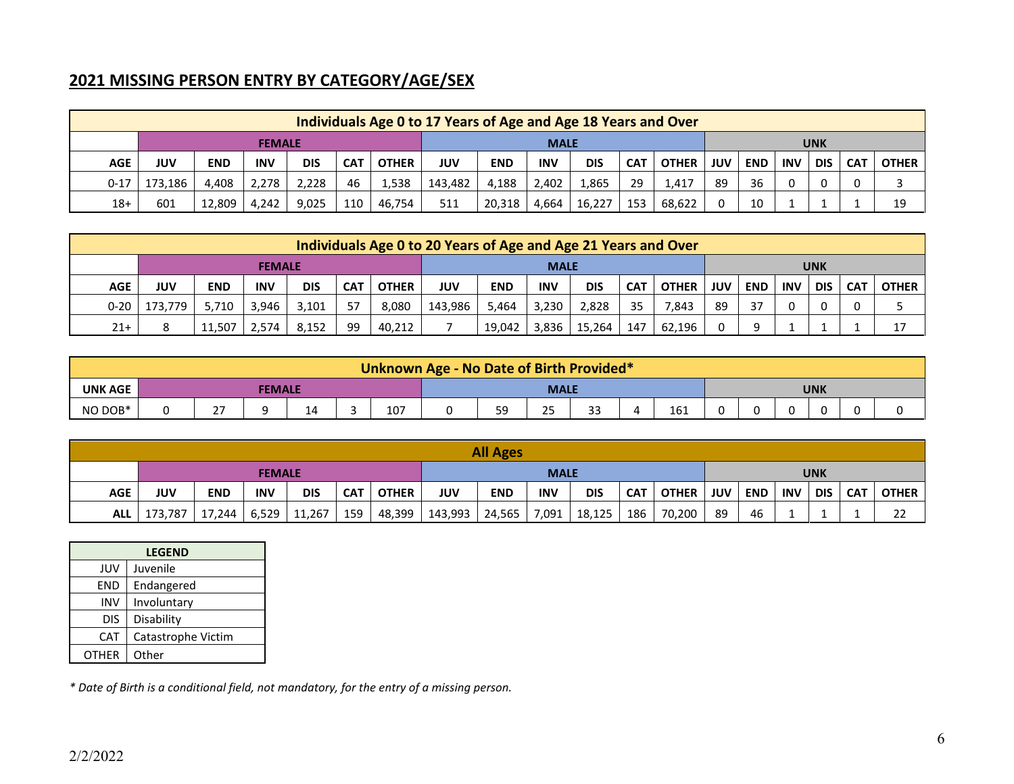# **2021 MISSING PERSON ENTRY BY CATEGORY/AGE/SEX**

|            |                              |            |            |            |     |              | Individuals Age 0 to 17 Years of Age and Age 18 Years and Over                |        |       |        |     |        |     |            |            |            |            |              |
|------------|------------------------------|------------|------------|------------|-----|--------------|-------------------------------------------------------------------------------|--------|-------|--------|-----|--------|-----|------------|------------|------------|------------|--------------|
|            | <b>FEMALE</b><br><b>MALE</b> |            |            |            |     |              |                                                                               |        |       |        |     |        |     |            |            | <b>UNK</b> |            |              |
| <b>AGE</b> | JUV                          | <b>END</b> | <b>INV</b> | <b>DIS</b> | CA1 | <b>OTHER</b> | <b>DIS</b><br>OTHER  <br><b>INV</b><br><b>JUV</b><br><b>END</b><br><b>CAT</b> |        |       |        |     |        |     | <b>END</b> | <b>INV</b> | <b>DIS</b> | <b>CAT</b> | <b>OTHER</b> |
| $0 - 17$   | 173.186                      | 4.408      | 2.278      | 2.228      | 46  | 1,538        | 143,482                                                                       | 4.188  | 2.402 | 1,865  | 29  | 1.417  | -89 | 36         |            |            |            |              |
| $18+$      | 601                          | 12,809     | 4,242      | 9,025      | 110 | 46,754       | 511                                                                           | 20,318 | 4,664 | 16,227 | 153 | 68,622 |     | 10         |            |            |            | 19           |

|            |         |            |               |            |            |              | Individuals Age 0 to 20 Years of Age and Age 21 Years and Over |            |             |            |            |              |            |            |            |            |            |              |
|------------|---------|------------|---------------|------------|------------|--------------|----------------------------------------------------------------|------------|-------------|------------|------------|--------------|------------|------------|------------|------------|------------|--------------|
|            |         |            | <b>FEMALE</b> |            |            |              |                                                                |            | <b>MALE</b> |            |            |              |            |            |            | <b>UNK</b> |            |              |
| <b>AGE</b> | JUV     | <b>END</b> | <b>INV</b>    | <b>DIS</b> | <b>CAT</b> | <b>OTHER</b> | JUV                                                            | <b>END</b> | <b>INV</b>  | <b>DIS</b> | <b>CAT</b> | <b>OTHER</b> | <b>JUV</b> | <b>END</b> | <b>INV</b> | <b>DIS</b> | <b>CAT</b> | <b>OTHER</b> |
| $0 - 20$   | 173.779 | 5.710      | 3.946         | 3,101      | - 57       | 8,080        | 143.986                                                        | 5.464      | 3,230       | 2,828      | 35         | 7,843        | -89        | 37         |            |            |            |              |
| $21+$      |         | 11.507     | 2.574         | 8.152      | -99        | 40,212       |                                                                | 19,042     | 3.836       | 15.264     | 147        | 62.196       |            | Q          |            |            |            | 17           |

|                |                                            |                             |  |    |  |     | Unknown Age - No Date of Birth Provided* |           |           |             |  |     |  |  |  |  |  |
|----------------|--------------------------------------------|-----------------------------|--|----|--|-----|------------------------------------------|-----------|-----------|-------------|--|-----|--|--|--|--|--|
| <b>UNK AGE</b> | <b>MALE</b><br><b>UNK</b><br><b>FEMALE</b> |                             |  |    |  |     |                                          |           |           |             |  |     |  |  |  |  |  |
| NO DOB*        |                                            | $\sim$ $\rightarrow$<br>- - |  | ж. |  | 107 |                                          | 59<br>- - | ЭE<br>ر ے | $\sim$<br>ັ |  | 161 |  |  |  |  |  |

|            |         |            |               |                |            |              |         | <b>All Ages</b> |             |            |     |             |    |     |         |            |            |              |
|------------|---------|------------|---------------|----------------|------------|--------------|---------|-----------------|-------------|------------|-----|-------------|----|-----|---------|------------|------------|--------------|
|            |         |            | <b>FEMALE</b> |                |            |              |         |                 | <b>MALE</b> |            |     |             |    |     |         | <b>UNK</b> |            |              |
| <b>AGE</b> | JUV     | <b>END</b> | <b>INV</b>    | <b>DIS</b>     | <b>CAT</b> | <b>OTHER</b> | JUV     | <b>END</b>      | <b>INV</b>  | <b>DIS</b> | CAT | OTHER   JUV |    | END | INV DIS |            | <b>CAT</b> | <b>OTHER</b> |
| <b>ALL</b> | 173,787 | 17,244     |               | $6,529$ 11,267 | 159        | 48,399       | 143,993 | 24,565          | 7,091       | 18,125     | 186 | 70,200      | 89 | 46  |         |            |            | 22           |

|              | <b>LEGEND</b>      |
|--------------|--------------------|
| JUV          | Juvenile           |
| <b>END</b>   | Endangered         |
| <b>INV</b>   | Involuntary        |
| DIS          | Disability         |
| <b>CAT</b>   | Catastrophe Victim |
| <b>OTHER</b> | Other              |

*\* Date of Birth is a conditional field, not mandatory, for the entry of a missing person.*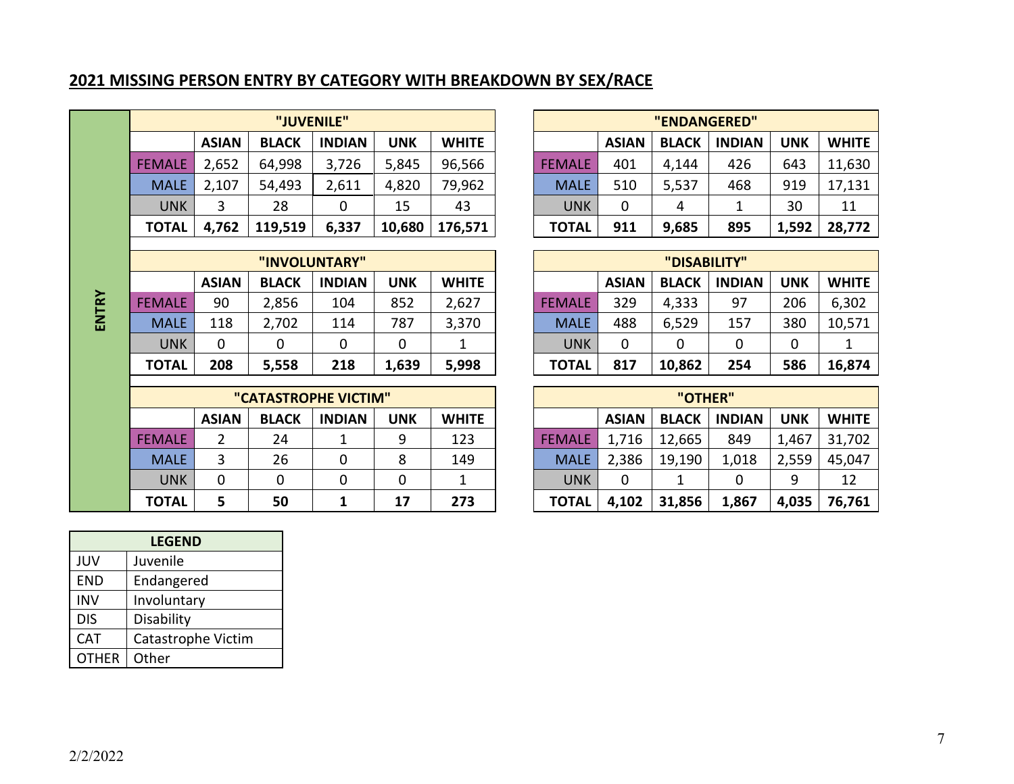# **2021 MISSING PERSON ENTRY BY CATEGORY WITH BREAKDOWN BY SEX/RACE**

|               |              |              | "JUVENILE"    |            |              |               |              | "ENDANGERED" |               |            |              |
|---------------|--------------|--------------|---------------|------------|--------------|---------------|--------------|--------------|---------------|------------|--------------|
|               | <b>ASIAN</b> | <b>BLACK</b> | <b>INDIAN</b> | <b>UNK</b> | <b>WHITE</b> |               | <b>ASIAN</b> | <b>BLACK</b> | <b>INDIAN</b> | <b>UNK</b> | <b>WHITE</b> |
| <b>FEMALE</b> | 2,652        | 64,998       | 3,726         | 5,845      | 96,566       | <b>FEMALE</b> | 401          | 4,144        | 426           | 643        | 11,630       |
| <b>MALE</b>   | 2,107        | 54,493       | 2,611         | 4,820      | 79,962       | <b>MALE</b>   | 510          | 5,537        | 468           | 919        | 17,131       |
| <b>UNK</b>    | 3            | 28           | 0             | 15         | 43           | <b>UNK</b>    | 0            | 4            |               | 30         | 11           |
| <b>TOTAL</b>  | 4,762        | 119,519      | 6,337         | 10,680     | 176,571      | <b>TOTAL</b>  | 911          | 9,685        | 895           | 1,592      | 28,772       |
|               |              |              |               |            |              |               |              |              |               |            |              |

|           |               |              |              | "INVOLUNTARY" |            |              |               |              | "DISABILITY" |               |     |              |
|-----------|---------------|--------------|--------------|---------------|------------|--------------|---------------|--------------|--------------|---------------|-----|--------------|
|           |               | <b>ASIAN</b> | <b>BLACK</b> | <b>INDIAN</b> | <b>UNK</b> | <b>WHITE</b> |               | <b>ASIAN</b> | <b>BLACK</b> | <b>INDIAN</b> | UNK | <b>WHITE</b> |
| $\approx$ | <b>FEMALE</b> | 90           | 2,856        | 104           | 852        | 2,627        | <b>FEMALE</b> | 329          | 4,333        | 97            | 206 | 6,302        |
| z<br>画    | <b>MALE</b>   | 118          | 2,702        | 114           | 787        | 3,370        | <b>MALE</b>   | 488          | 6,529        | 157           | 380 | 10,571       |
|           | <b>UNK</b>    | 0            |              | 0             |            |              | <b>UNK</b>    | 0            |              | 0             | 0   |              |
|           | <b>TOTAL</b>  | 208          | 5,558        | 218           | 1,639      | 5,998        | <b>TOTAL</b>  | 817          | 10,862       | 254           | 586 | 16,874       |

|               |              | "CATASTROPHE VICTIM" |               |            |              |               |              | "OTHER"      |               |            |              |
|---------------|--------------|----------------------|---------------|------------|--------------|---------------|--------------|--------------|---------------|------------|--------------|
|               | <b>ASIAN</b> | <b>BLACK</b>         | <b>INDIAN</b> | <b>UNK</b> | <b>WHITE</b> |               | <b>ASIAN</b> | <b>BLACK</b> | <b>INDIAN</b> | <b>UNK</b> | <b>WHITE</b> |
| <b>FEMALE</b> |              | 24                   |               | 9          | 123          | <b>FEMALE</b> | 1,716        | 12,665       | 849           | 1,467      | 31,702       |
| <b>MALE</b>   |              | 26                   |               | 8          | 149          | <b>MALE</b>   | 2,386        | 19,190       | 1,018         | 2,559      | 45,047       |
| <b>UNK</b>    | 0            |                      |               |            |              | UNK           |              |              |               |            | 12           |
| <b>TOTAL</b>  | 5            | 50                   |               | 17         | 273          | <b>TOTAL</b>  | 4,102        | 31,856       | 1,867         | 4,035      | 76,761       |

|              | "JUVENILE"   |               |        |              |               |              | "ENDANGERED" |               |            |              |
|--------------|--------------|---------------|--------|--------------|---------------|--------------|--------------|---------------|------------|--------------|
| <b>ASIAN</b> | <b>BLACK</b> | <b>INDIAN</b> | UNK    | <b>WHITE</b> |               | <b>ASIAN</b> | <b>BLACK</b> | <b>INDIAN</b> | <b>UNK</b> | <b>WHITE</b> |
| 2,652        | 64,998       | 3,726         | 5,845  | 96,566       | <b>FEMALE</b> | 401          | 4,144        | 426           | 643        | 11,630       |
| 2,107        | 54,493       | 2,611         | 4,820  | 79,962       | <b>MALE</b>   | 510          | 5,537        | 468           | 919        | 17,131       |
|              | 28           |               | 15     | 43           | <b>UNK</b>    | 0            | 4            |               | 30         | 11           |
| 4,762        | 119,519      | 6,337         | 10,680 | 176,571      | <b>TOTAL</b>  | 911          | 9,685        | 895           | 1,592      | 28,772       |

|              |              | "INVOLUNTARY" |       |              |               |              | "DISABILITY" |               |            |              |
|--------------|--------------|---------------|-------|--------------|---------------|--------------|--------------|---------------|------------|--------------|
| <b>ASIAN</b> | <b>BLACK</b> | <b>INDIAN</b> | UNK   | <b>WHITE</b> |               | <b>ASIAN</b> | <b>BLACK</b> | <b>INDIAN</b> | <b>UNK</b> | <b>WHITE</b> |
| 90           | 2,856        | 104           | 852   | 2,627        | <b>FEMALE</b> | 329          | 4,333        | 97            | 206        | 6,302        |
| 118          | 2,702        | 114           | 787   | 3,370        | <b>MALE</b>   | 488          | 6,529        | 157           | 380        | 10,571       |
| 0            |              |               |       |              | <b>UNK</b>    | 0            |              |               | 0          |              |
| 208          | 5,558        | 218           | 1,639 | 5,998        | <b>TOTAL</b>  | 817          | 10,862       | 254           | 586        | 16,874       |

|             |              | "CATASTROPHE VICTIM" |               |     |              | "OTHER"       |              |              |               |            |              |
|-------------|--------------|----------------------|---------------|-----|--------------|---------------|--------------|--------------|---------------|------------|--------------|
|             | <b>ASIAN</b> | <b>BLACK</b>         | <b>INDIAN</b> | UNK | <b>WHITE</b> |               | <b>ASIAN</b> | <b>BLACK</b> | <b>INDIAN</b> | <b>UNK</b> | <b>WHITE</b> |
| EMALE       |              | 24                   |               | 9   | 123          | <b>FEMALE</b> | 1,716        | 12,665       | 849           | 1,467      | 31,702       |
| <b>MALE</b> |              | 26                   |               | 8   | 149          | <b>MALE</b>   | 2,386        | 19,190       | 1,018         | 2,559      | 45,047       |
| <b>UNK</b>  |              |                      |               |     |              | <b>UNK</b>    |              |              |               | q          | 12           |
| ΤΟΤΑL       |              | 50                   |               | 17  | 273          | <b>TOTAL</b>  | 4,102        | 31,856       | 1,867         | 4,035      | 76,761       |

| <b>LEGEND</b>      |
|--------------------|
| Juvenile           |
| Endangered         |
| Involuntary        |
| Disability         |
| Catastrophe Victim |
| Other              |
|                    |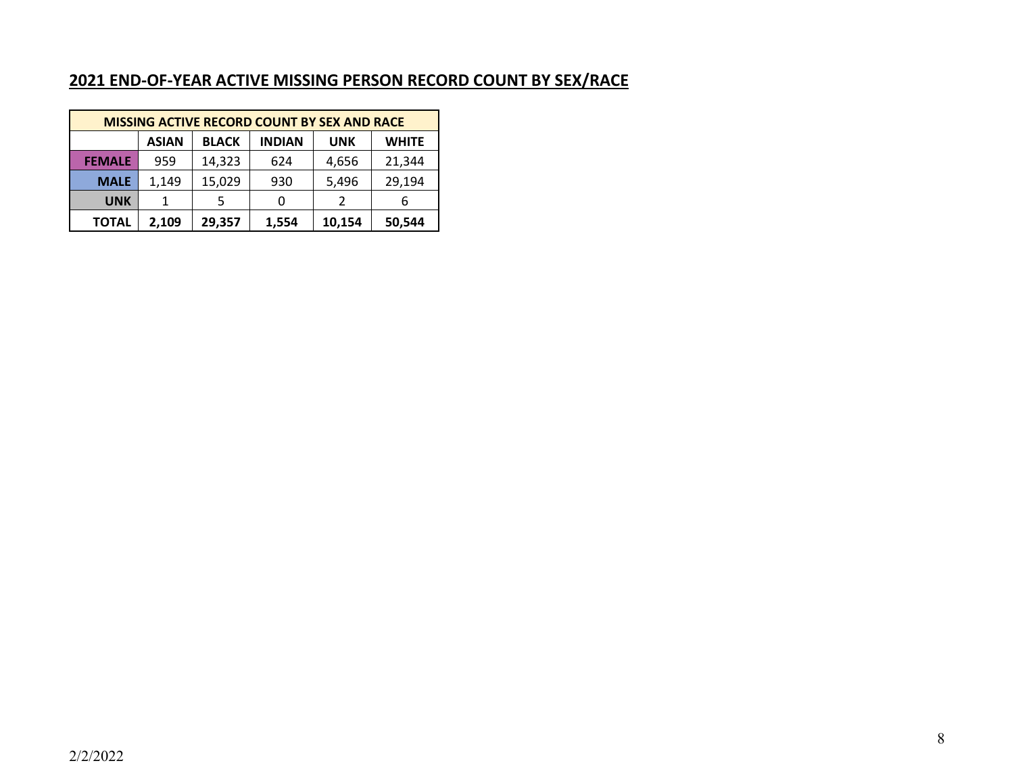### **2021 END-OF-YEAR ACTIVE MISSING PERSON RECORD COUNT BY SEX/RACE**

|               | <b>MISSING ACTIVE RECORD COUNT BY SEX AND RACE</b>                          |        |       |        |        |  |  |  |  |  |  |  |  |
|---------------|-----------------------------------------------------------------------------|--------|-------|--------|--------|--|--|--|--|--|--|--|--|
|               | <b>BLACK</b><br><b>ASIAN</b><br><b>INDIAN</b><br><b>WHITE</b><br><b>UNK</b> |        |       |        |        |  |  |  |  |  |  |  |  |
| <b>FEMALE</b> | 14,323<br>21,344<br>959<br>4,656<br>624                                     |        |       |        |        |  |  |  |  |  |  |  |  |
| <b>MALE</b>   | 1,149                                                                       | 15,029 | 930   | 5,496  | 29,194 |  |  |  |  |  |  |  |  |
| <b>UNK</b>    |                                                                             |        |       | 2      | 6      |  |  |  |  |  |  |  |  |
| <b>TOTAL</b>  | 2,109                                                                       | 29,357 | 1,554 | 10,154 | 50,544 |  |  |  |  |  |  |  |  |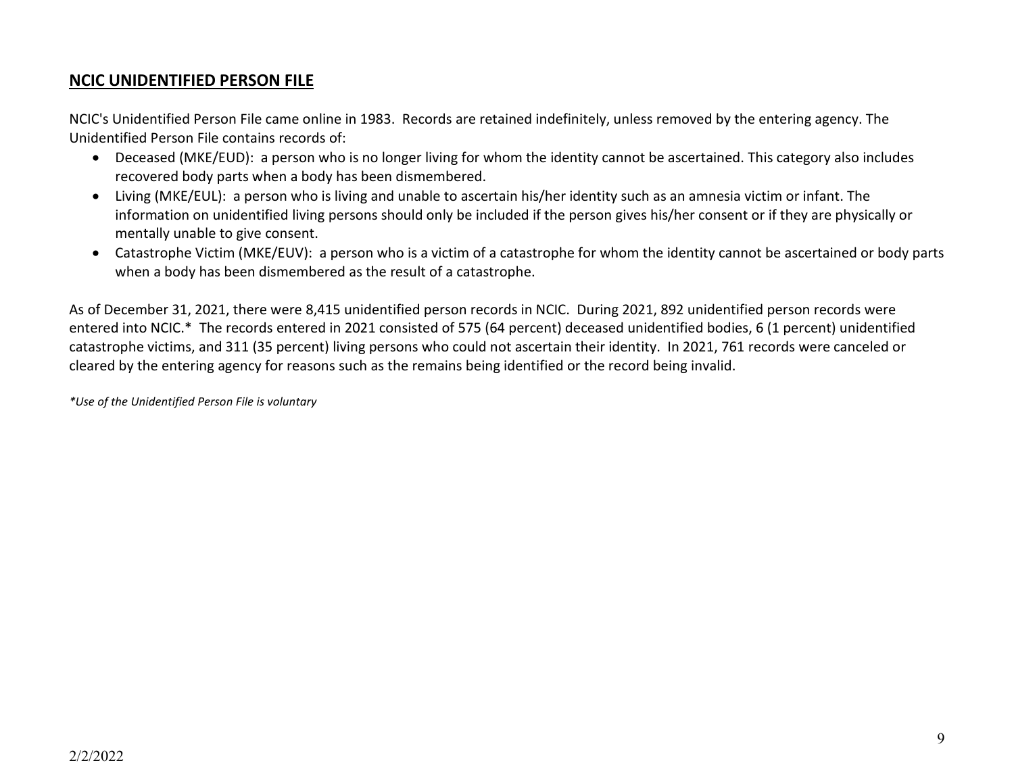### **NCIC UNIDENTIFIED PERSON FILE**

NCIC's Unidentified Person File came online in 1983. Records are retained indefinitely, unless removed by the entering agency. The Unidentified Person File contains records of:

- Deceased (MKE/EUD): a person who is no longer living for whom the identity cannot be ascertained. This category also includes recovered body parts when a body has been dismembered.
- Living (MKE/EUL): a person who is living and unable to ascertain his/her identity such as an amnesia victim or infant. The information on unidentified living persons should only be included if the person gives his/her consent or if they are physically or mentally unable to give consent.
- Catastrophe Victim (MKE/EUV): a person who is a victim of a catastrophe for whom the identity cannot be ascertained or body parts when a body has been dismembered as the result of a catastrophe.

As of December 31, 2021, there were 8,415 unidentified person records in NCIC. During 2021, 892 unidentified person records were entered into NCIC.\* The records entered in 2021 consisted of 575 (64 percent) deceased unidentified bodies, 6 (1 percent) unidentified catastrophe victims, and 311 (35 percent) living persons who could not ascertain their identity. In 2021, 761 records were canceled or cleared by the entering agency for reasons such as the remains being identified or the record being invalid.

*\*Use of the Unidentified Person File is voluntary*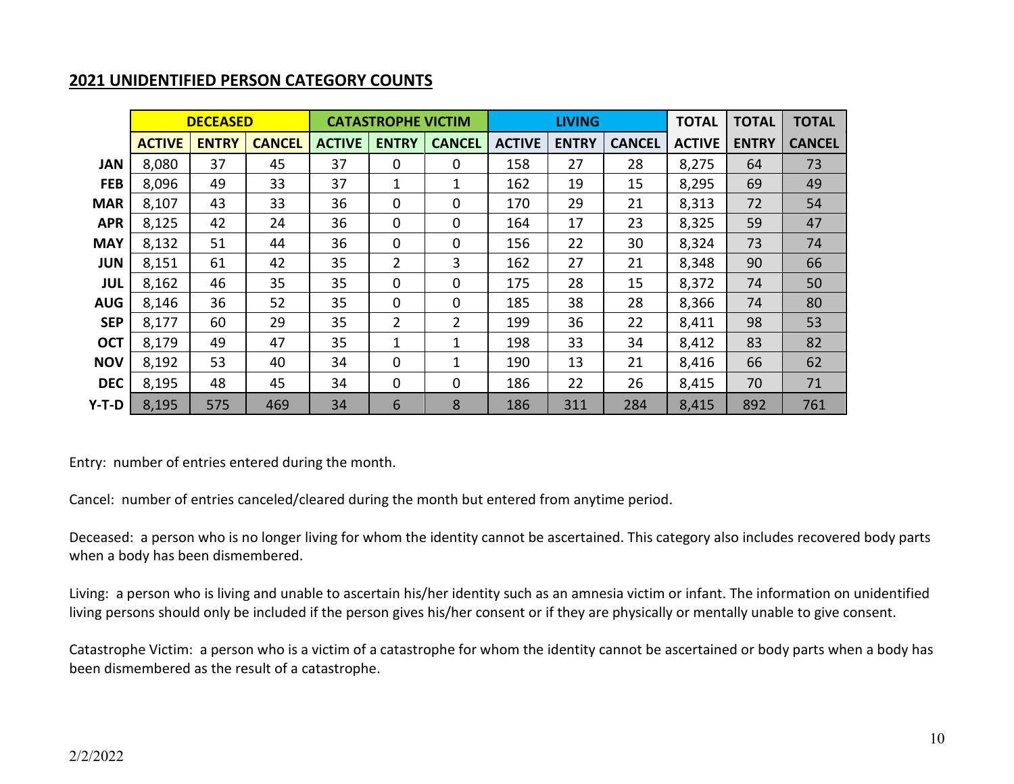### **2021 UNIDENTIFIED PERSON CATEGORY COUNTS**

|            |               | <b>DECEASED</b> |               |               | <b>CATASTROPHE VICTIM</b> |               |               | <b>LIVING</b> |               | <b>TOTAL</b>  | <b>TOTAL</b> | <b>TOTAL</b>  |
|------------|---------------|-----------------|---------------|---------------|---------------------------|---------------|---------------|---------------|---------------|---------------|--------------|---------------|
|            | <b>ACTIVE</b> | <b>ENTRY</b>    | <b>CANCEL</b> | <b>ACTIVE</b> | <b>ENTRY</b>              | <b>CANCEL</b> | <b>ACTIVE</b> | <b>ENTRY</b>  | <b>CANCEL</b> | <b>ACTIVE</b> | <b>ENTRY</b> | <b>CANCEL</b> |
| <b>JAN</b> | 8,080         | 37              | 45            | 37            | 0                         | 0             | 158           | 27            | 28            | 8,275         | 64           | 73            |
| <b>FEB</b> | 8,096         | 49              | 33            | 37            | 1                         | 1             | 162           | 19            | 15            | 8,295         | 69           | 49            |
| <b>MAR</b> | 8,107         | 43              | 33            | 36            | 0                         | 0             | 170           | 29            | 21            | 8,313         | 72           | 54            |
| <b>APR</b> | 8,125         | 42              | 24            | 36            | 0                         | 0             | 164           | 17            | 23            | 8,325         | 59           | 47            |
| <b>MAY</b> | 8,132         | 51              | 44            | 36            | 0                         | 0             | 156           | 22            | 30            | 8,324         | 73           | 74            |
| <b>JUN</b> | 8,151         | 61              | 42            | 35            | 2                         | 3             | 162           | 27            | 21            | 8,348         | 90           | 66            |
| <b>JUL</b> | 8,162         | 46              | 35            | 35            | 0                         | 0             | 175           | 28            | 15            | 8,372         | 74           | 50            |
| <b>AUG</b> | 8,146         | 36              | 52            | 35            | 0                         | 0             | 185           | 38            | 28            | 8,366         | 74           | 80            |
| <b>SEP</b> | 8,177         | 60              | 29            | 35            | $\overline{2}$            | 2             | 199           | 36            | 22            | 8,411         | 98           | 53            |
| <b>OCT</b> | 8,179         | 49              | 47            | 35            | 1                         | 1             | 198           | 33            | 34            | 8,412         | 83           | 82            |
| <b>NOV</b> | 8,192         | 53              | 40            | 34            | 0                         | 1             | 190           | 13            | 21            | 8,416         | 66           | 62            |
| <b>DEC</b> | 8,195         | 48              | 45            | 34            | 0                         | 0             | 186           | 22            | 26            | 8,415         | 70           | 71            |
| Y-T-D      | 8,195         | 575             | 469           | 34            | 6                         | 8             | 186           | 311           | 284           | 8,415         | 892          | 761           |

Entry: number of entries entered during the month.

Cancel: number of entries canceled/cleared during the month but entered from anytime period.

Deceased: a person who is no longer living for whom the identity cannot be ascertained. This category also includes recovered body parts when a body has been dismembered.

Living: a person who is living and unable to ascertain his/her identity such as an amnesia victim or infant. The information on unidentified living persons should only be included if the person gives his/her consent or if they are physically or mentally unable to give consent.

Catastrophe Victim: a person who is a victim of a catastrophe for whom the identity cannot be ascertained or body parts when a body has been dismembered as the result of a catastrophe.